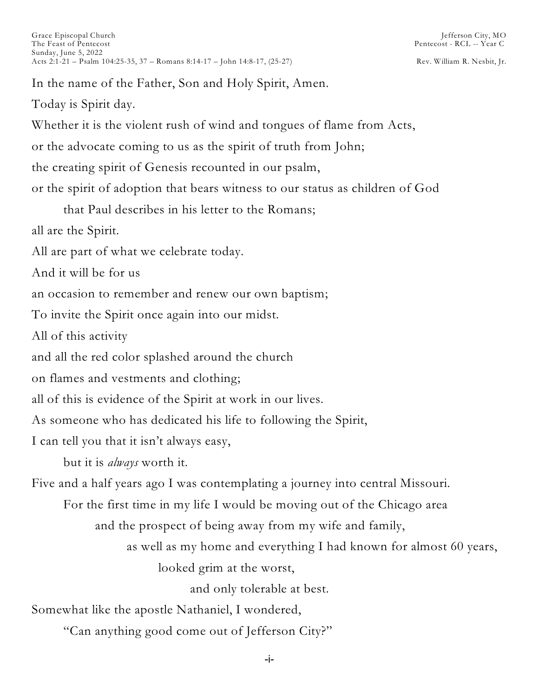In the name of the Father, Son and Holy Spirit, Amen. Today is Spirit day. Whether it is the violent rush of wind and tongues of flame from Acts, or the advocate coming to us as the spirit of truth from John; the creating spirit of Genesis recounted in our psalm, or the spirit of adoption that bears witness to our status as children of God that Paul describes in his letter to the Romans; all are the Spirit. All are part of what we celebrate today. And it will be for us an occasion to remember and renew our own baptism; To invite the Spirit once again into our midst. All of this activity and all the red color splashed around the church on flames and vestments and clothing; all of this is evidence of the Spirit at work in our lives. As someone who has dedicated his life to following the Spirit, I can tell you that it isn't always easy, but it is *always* worth it. Five and a half years ago I was contemplating a journey into central Missouri. For the first time in my life I would be moving out of the Chicago area and the prospect of being away from my wife and family, as well as my home and everything I had known for almost 60 years, looked grim at the worst, and only tolerable at best. Somewhat like the apostle Nathaniel, I wondered, "Can anything good come out of Jefferson City?"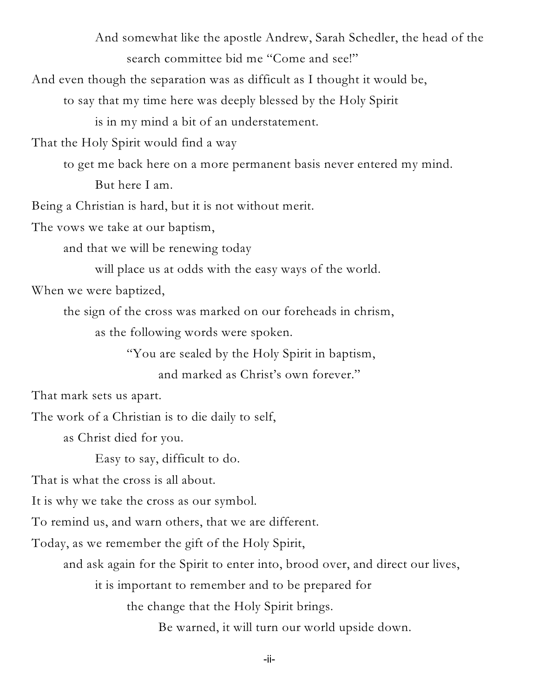And somewhat like the apostle Andrew, Sarah Schedler, the head of the search committee bid me "Come and see!"

And even though the separation was as difficult as I thought it would be,

to say that my time here was deeply blessed by the Holy Spirit

is in my mind a bit of an understatement.

That the Holy Spirit would find a way

to get me back here on a more permanent basis never entered my mind. But here I am.

Being a Christian is hard, but it is not without merit.

The vows we take at our baptism,

and that we will be renewing today

will place us at odds with the easy ways of the world.

When we were baptized,

the sign of the cross was marked on our foreheads in chrism,

as the following words were spoken.

"You are sealed by the Holy Spirit in baptism,

and marked as Christ's own forever."

That mark sets us apart.

The work of a Christian is to die daily to self,

as Christ died for you.

Easy to say, difficult to do.

That is what the cross is all about.

It is why we take the cross as our symbol.

To remind us, and warn others, that we are different.

Today, as we remember the gift of the Holy Spirit,

and ask again for the Spirit to enter into, brood over, and direct our lives,

it is important to remember and to be prepared for

the change that the Holy Spirit brings.

Be warned, it will turn our world upside down.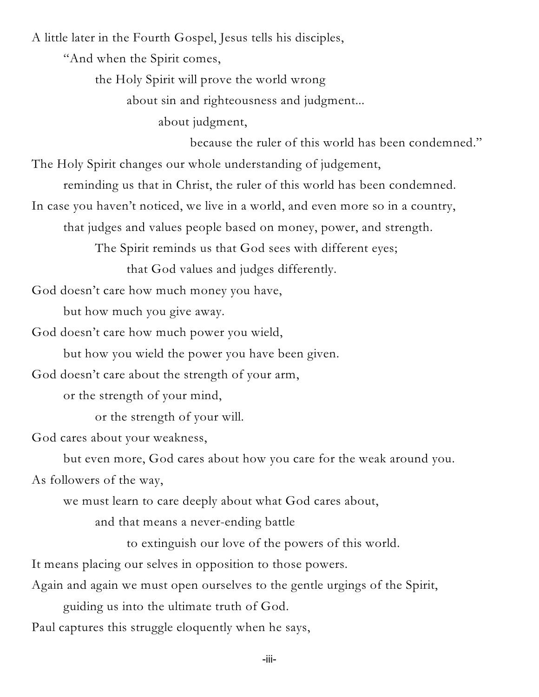A little later in the Fourth Gospel, Jesus tells his disciples,

"And when the Spirit comes,

the Holy Spirit will prove the world wrong

about sin and righteousness and judgment...

about judgment,

because the ruler of this world has been condemned."

The Holy Spirit changes our whole understanding of judgement,

reminding us that in Christ, the ruler of this world has been condemned.

In case you haven't noticed, we live in a world, and even more so in a country,

that judges and values people based on money, power, and strength.

The Spirit reminds us that God sees with different eyes;

that God values and judges differently.

God doesn't care how much money you have,

but how much you give away.

God doesn't care how much power you wield,

but how you wield the power you have been given.

God doesn't care about the strength of your arm,

or the strength of your mind,

or the strength of your will.

God cares about your weakness,

but even more, God cares about how you care for the weak around you.

As followers of the way,

we must learn to care deeply about what God cares about,

and that means a never-ending battle

to extinguish our love of the powers of this world.

It means placing our selves in opposition to those powers.

Again and again we must open ourselves to the gentle urgings of the Spirit,

guiding us into the ultimate truth of God.

Paul captures this struggle eloquently when he says,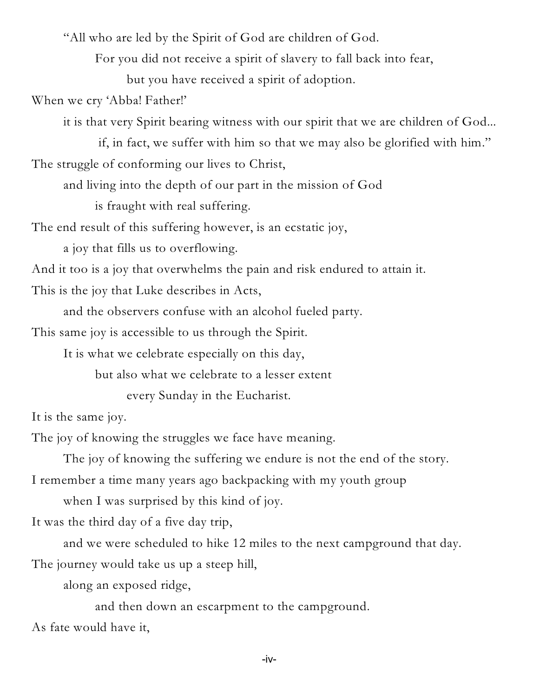"All who are led by the Spirit of God are children of God.

For you did not receive a spirit of slavery to fall back into fear,

but you have received a spirit of adoption.

When we cry 'Abba! Father!'

it is that very Spirit bearing witness with our spirit that we are children of God...

if, in fact, we suffer with him so that we may also be glorified with him." The struggle of conforming our lives to Christ,

and living into the depth of our part in the mission of God

is fraught with real suffering.

The end result of this suffering however, is an ecstatic joy,

a joy that fills us to overflowing.

And it too is a joy that overwhelms the pain and risk endured to attain it.

This is the joy that Luke describes in Acts,

and the observers confuse with an alcohol fueled party.

This same joy is accessible to us through the Spirit.

It is what we celebrate especially on this day,

but also what we celebrate to a lesser extent

every Sunday in the Eucharist.

It is the same joy.

The joy of knowing the struggles we face have meaning.

The joy of knowing the suffering we endure is not the end of the story.

I remember a time many years ago backpacking with my youth group

when I was surprised by this kind of joy.

It was the third day of a five day trip,

and we were scheduled to hike 12 miles to the next campground that day. The journey would take us up a steep hill,

along an exposed ridge,

and then down an escarpment to the campground.

As fate would have it,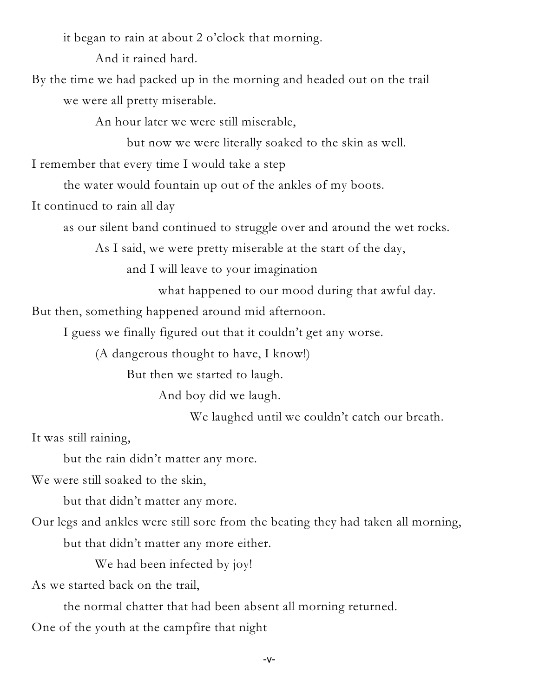it began to rain at about 2 o'clock that morning.

And it rained hard.

By the time we had packed up in the morning and headed out on the trail we were all pretty miserable.

An hour later we were still miserable,

but now we were literally soaked to the skin as well.

I remember that every time I would take a step

the water would fountain up out of the ankles of my boots.

It continued to rain all day

as our silent band continued to struggle over and around the wet rocks.

As I said, we were pretty miserable at the start of the day,

and I will leave to your imagination

what happened to our mood during that awful day.

But then, something happened around mid afternoon.

I guess we finally figured out that it couldn't get any worse.

(A dangerous thought to have, I know!)

But then we started to laugh.

And boy did we laugh.

We laughed until we couldn't catch our breath.

It was still raining,

but the rain didn't matter any more.

We were still soaked to the skin,

but that didn't matter any more.

Our legs and ankles were still sore from the beating they had taken all morning,

but that didn't matter any more either.

We had been infected by joy!

As we started back on the trail,

the normal chatter that had been absent all morning returned.

One of the youth at the campfire that night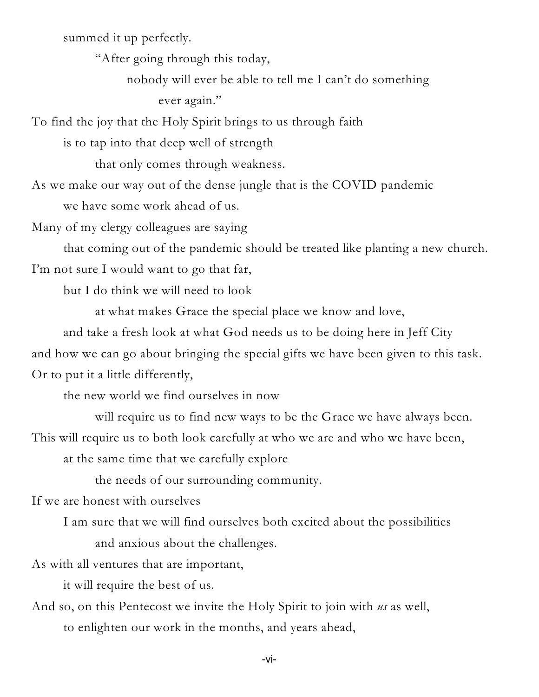summed it up perfectly.

"After going through this today,

nobody will ever be able to tell me I can't do something ever again."

To find the joy that the Holy Spirit brings to us through faith

is to tap into that deep well of strength

that only comes through weakness.

As we make our way out of the dense jungle that is the COVID pandemic

we have some work ahead of us.

Many of my clergy colleagues are saying

that coming out of the pandemic should be treated like planting a new church. I'm not sure I would want to go that far,

but I do think we will need to look

at what makes Grace the special place we know and love,

and take a fresh look at what God needs us to be doing here in Jeff City and how we can go about bringing the special gifts we have been given to this task. Or to put it a little differently,

the new world we find ourselves in now

will require us to find new ways to be the Grace we have always been.

This will require us to both look carefully at who we are and who we have been,

at the same time that we carefully explore

the needs of our surrounding community.

If we are honest with ourselves

I am sure that we will find ourselves both excited about the possibilities and anxious about the challenges.

As with all ventures that are important,

it will require the best of us.

And so, on this Pentecost we invite the Holy Spirit to join with *us* as well, to enlighten our work in the months, and years ahead,